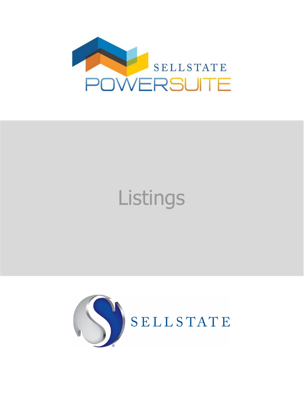

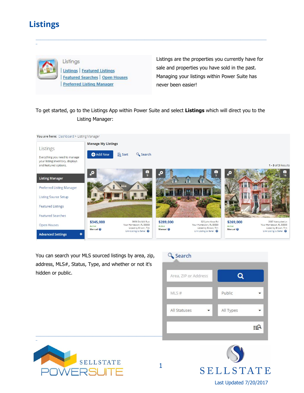\_



Listings Listings | Featured Listings **Featured Searches | Open Houses Preferred Listing Manager** 

Listings are the properties you currently have for sale and properties you have sold in the past. Managing your listings within Power Suite has never been easier!

To get started, go to the Listings App within Power Suite and select **Listings** which will direct you to the Listing Manager:

\_\_\_\_\_\_\_\_\_\_\_\_\_\_\_\_\_\_\_\_\_\_\_\_\_\_\_\_\_\_\_\_\_\_\_\_\_\_\_\_\_\_\_\_\_\_\_\_\_\_\_\_\_\_\_\_\_\_\_\_\_\_\_\_\_\_\_\_\_\_\_\_\_\_\_\_\_\_\_\_\_\_\_\_\_\_\_\_\_\_\_\_\_\_\_\_\_\_\_\_\_\_\_\_\_\_\_\_\_\_\_\_\_\_\_\_\_\_\_\_\_\_\_\_\_\_\_\_\_\_\_\_\_\_\_\_\_\_\_\_\_\_



You can search your MLS sourced listings by area, zip, address, MLS#, Status, Type, and whether or not it's hidden or public.





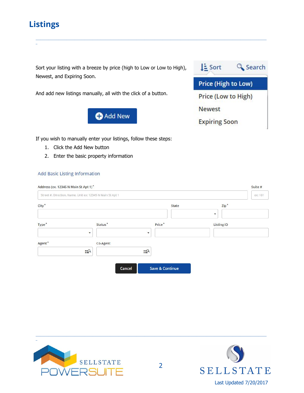\_

Sort your listing with a breeze by price (high to Low or Low to High), Newest, and Expiring Soon.

And add new listings manually, all with the click of a button.



LE Sort & Search Price (High to Low) Price (Low to High) **Newest Expiring Soon** 

If you wish to manually enter your listings, follow these steps:

- 1. Click the Add New button
- 2. Enter the basic property information

### **Add Basic Listing Information**

| Address (ex. 12345 N Main St Apt 1)*                      |                     |                            |                                           |         |
|-----------------------------------------------------------|---------------------|----------------------------|-------------------------------------------|---------|
| Street #, Direction, Name, Unit ex: 12345 N Main St Apt 1 |                     |                            |                                           | ex: 101 |
| $City^*$                                                  |                     | State                      | $Zip*$                                    |         |
| Type <sup>*</sup>                                         | Status <sup>*</sup> | Price <sup>*</sup>         | $\blacktriangledown$<br><b>Listing ID</b> |         |
| $\overline{\phantom{a}}$                                  |                     | $\overline{\phantom{a}}$   |                                           |         |
| Agent*                                                    | Co-Agent            |                            |                                           |         |
| <b>EQ</b>                                                 |                     | $E^Q$                      |                                           |         |
|                                                           | Cancel              | <b>Save &amp; Continue</b> |                                           |         |
|                                                           |                     |                            |                                           |         |

\_\_\_\_\_\_\_\_\_\_\_\_\_\_\_\_\_\_\_\_\_\_\_\_\_\_\_\_\_\_\_\_\_\_\_\_\_\_\_\_\_\_\_\_\_\_\_\_\_\_\_\_\_\_\_\_\_\_\_\_\_\_\_\_\_\_\_\_\_\_\_\_\_\_\_\_\_\_\_\_\_\_\_\_\_\_\_\_\_\_\_\_\_\_\_\_\_\_\_\_\_\_\_\_\_\_\_\_\_\_\_\_\_\_\_\_\_\_\_\_\_\_\_\_\_\_\_\_\_\_\_\_\_\_\_\_\_\_\_\_\_\_



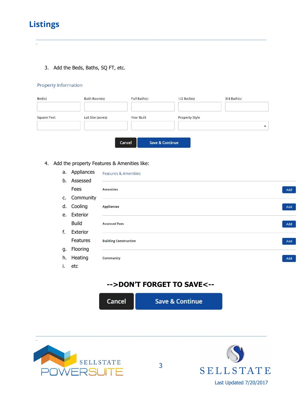

\_

3. Add the Beds, Baths, SQ FT, etc.

## Property Information

| Bed(s)             | Bath Room(s)     | Full Bath(s)      | $1/2$ Bath(s)              |                       | $3/4$ Bath(s) |
|--------------------|------------------|-------------------|----------------------------|-----------------------|---------------|
| <b>Square Feet</b> | Lot Size (acres) | <b>Year Built</b> |                            | <b>Property Style</b> |               |
|                    |                  | Cancel            | <b>Save &amp; Continue</b> |                       |               |

\_\_\_\_\_\_\_\_\_\_\_\_\_\_\_\_\_\_\_\_\_\_\_\_\_\_\_\_\_\_\_\_\_\_\_\_\_\_\_\_\_\_\_\_\_\_\_\_\_\_\_\_\_\_\_\_\_\_\_\_\_\_\_\_\_\_\_\_\_\_\_\_\_\_\_\_\_\_\_\_\_\_\_\_\_\_\_\_\_\_\_\_\_\_\_\_\_\_\_\_\_\_\_\_\_\_\_\_\_\_\_\_\_\_\_\_\_\_\_\_\_\_\_\_\_\_\_\_\_\_\_\_\_\_\_\_\_\_\_\_\_\_

#### 4. Add the property Features & Amenities like:

|    | a. Appliances | <b>Features &amp; Amenities</b> |     |
|----|---------------|---------------------------------|-----|
|    | b. Assessed   |                                 |     |
|    | Fees          | <b>Amenities</b>                | Add |
|    | c. Community  |                                 |     |
|    | d. Cooling    | <b>Appliances</b>               | Add |
| e. | Exterior      |                                 |     |
|    | <b>Build</b>  | <b>Assessed Fees</b>            | Add |
| f. | Exterior      |                                 |     |
|    | Features      | <b>Building Construction</b>    | Add |
| g. | Flooring      |                                 |     |
| h. | Heating       | <b>Community</b>                | Add |
| i. | etc           |                                 |     |

## **-->DON'T FORGET TO SAVE<--**

Cancel

**Save & Continue** 





\_\_\_\_\_\_\_\_\_\_\_\_\_\_\_\_\_\_\_\_\_\_\_\_\_\_\_\_\_\_\_\_\_\_\_\_\_\_\_\_\_\_\_\_\_\_\_\_\_\_\_\_\_\_\_\_\_\_\_\_\_\_\_\_\_\_\_\_\_\_\_\_\_\_\_\_\_\_\_\_\_\_\_\_\_\_\_\_\_\_\_\_\_\_\_\_\_\_\_\_\_\_\_\_\_\_\_\_\_\_\_\_\_\_\_\_\_\_\_\_\_\_\_\_\_\_\_\_\_\_\_\_\_\_\_\_\_\_\_\_\_\_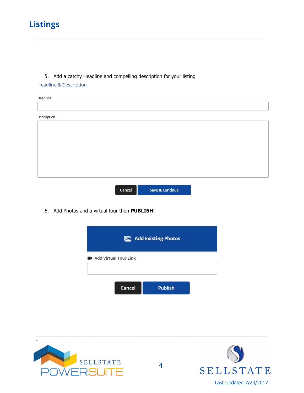## 5. Add a catchy Headline and compelling description for your listing

Cancel

**Headline & Description** 

| Headline           |  |  |  |
|--------------------|--|--|--|
|                    |  |  |  |
| <b>Description</b> |  |  |  |
|                    |  |  |  |
|                    |  |  |  |
|                    |  |  |  |
|                    |  |  |  |
|                    |  |  |  |
|                    |  |  |  |
|                    |  |  |  |

**Save & Continue** 

6. Add Photos and a virtual tour then PUBLISH!